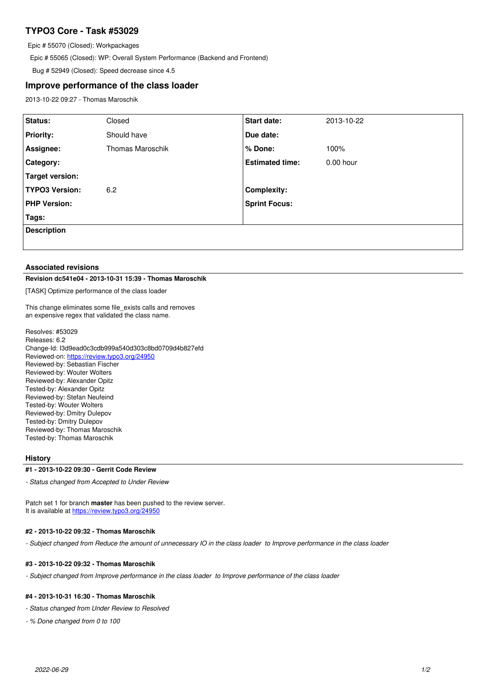# **TYPO3 Core - Task #53029**

Epic # 55070 (Closed): Workpackages

Epic # 55065 (Closed): WP: Overall System Performance (Backend and Frontend)

Bug # 52949 (Closed): Speed decrease since 4.5

# **Improve performance of the class loader**

2013-10-22 09:27 - Thomas Maroschik

| Status:               | Closed           | <b>Start date:</b>     | 2013-10-22  |
|-----------------------|------------------|------------------------|-------------|
|                       |                  |                        |             |
| <b>Priority:</b>      | Should have      | Due date:              |             |
| Assignee:             | Thomas Maroschik | % Done:                | 100%        |
| Category:             |                  | <b>Estimated time:</b> | $0.00$ hour |
| Target version:       |                  |                        |             |
| <b>TYPO3 Version:</b> | 6.2              | <b>Complexity:</b>     |             |
| <b>PHP Version:</b>   |                  | <b>Sprint Focus:</b>   |             |
| Tags:                 |                  |                        |             |
| <b>Description</b>    |                  |                        |             |
|                       |                  |                        |             |

#### **Associated revisions**

#### **Revision dc541e04 - 2013-10-31 15:39 - Thomas Maroschik**

[TASK] Optimize performance of the class loader

This change eliminates some file\_exists calls and removes an expensive regex that validated the class name.

Resolves: #53029 Releases: 6.2 Change-Id: I3d9ead0c3cdb999a540d303c8bd0709d4b827efd Reviewed-on:<https://review.typo3.org/24950> Reviewed-by: Sebastian Fischer Reviewed-by: Wouter Wolters Reviewed-by: Alexander Opitz Tested-by: Alexander Opitz Reviewed-by: Stefan Neufeind Tested-by: Wouter Wolters Reviewed-by: Dmitry Dulepov Tested-by: Dmitry Dulepov Reviewed-by: Thomas Maroschik Tested-by: Thomas Maroschik

#### **History**

#### **#1 - 2013-10-22 09:30 - Gerrit Code Review**

*- Status changed from Accepted to Under Review*

Patch set 1 for branch **master** has been pushed to the review server. It is available at <https://review.typo3.org/24950>

#### **#2 - 2013-10-22 09:32 - Thomas Maroschik**

- Subject changed from Reduce the amount of unnecessary IO in the class loader to Improve performance in the class loader

### **#3 - 2013-10-22 09:32 - Thomas Maroschik**

*- Subject changed from Improve performance in the class loader to Improve performance of the class loader* 

### **#4 - 2013-10-31 16:30 - Thomas Maroschik**

*- Status changed from Under Review to Resolved*

*- % Done changed from 0 to 100*